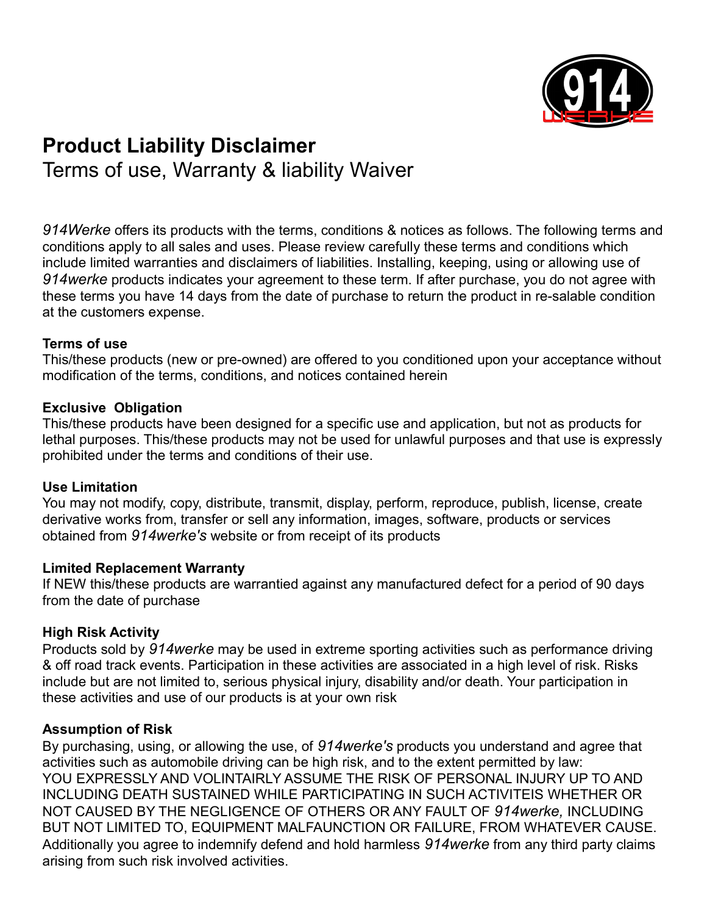

# **Product Liability Disclaimer** Terms of use, Warranty & liability Waiver

*914Werke* offers its products with the terms, conditions & notices as follows. The following terms and conditions apply to all sales and uses. Please review carefully these terms and conditions which include limited warranties and disclaimers of liabilities. Installing, keeping, using or allowing use of *914werke* products indicates your agreement to these term. If after purchase, you do not agree with these terms you have 14 days from the date of purchase to return the product in re-salable condition at the customers expense.

## **Terms of use**

This/these products (new or pre-owned) are offered to you conditioned upon your acceptance without modification of the terms, conditions, and notices contained herein

#### **Exclusive Obligation**

This/these products have been designed for a specific use and application, but not as products for lethal purposes. This/these products may not be used for unlawful purposes and that use is expressly prohibited under the terms and conditions of their use.

#### **Use Limitation**

You may not modify, copy, distribute, transmit, display, perform, reproduce, publish, license, create derivative works from, transfer or sell any information, images, software, products or services obtained from *914werke's* website or from receipt of its products

#### **Limited Replacement Warranty**

If NEW this/these products are warrantied against any manufactured defect for a period of 90 days from the date of purchase

## **High Risk Activity**

Products sold by *914werke* may be used in extreme sporting activities such as performance driving & off road track events. Participation in these activities are associated in a high level of risk. Risks include but are not limited to, serious physical injury, disability and/or death. Your participation in these activities and use of our products is at your own risk

## **Assumption of Risk**

By purchasing, using, or allowing the use, of *914werke's* products you understand and agree that activities such as automobile driving can be high risk, and to the extent permitted by law: YOU EXPRESSLY AND VOLINTAIRLY ASSUME THE RISK OF PERSONAL INJURY UP TO AND INCLUDING DEATH SUSTAINED WHILE PARTICIPATING IN SUCH ACTIVITEIS WHETHER OR NOT CAUSED BY THE NEGLIGENCE OF OTHERS OR ANY FAULT OF *914werke,* INCLUDING BUT NOT LIMITED TO, EQUIPMENT MALFAUNCTION OR FAILURE, FROM WHATEVER CAUSE. Additionally you agree to indemnify defend and hold harmless *914werke* from any third party claims arising from such risk involved activities.